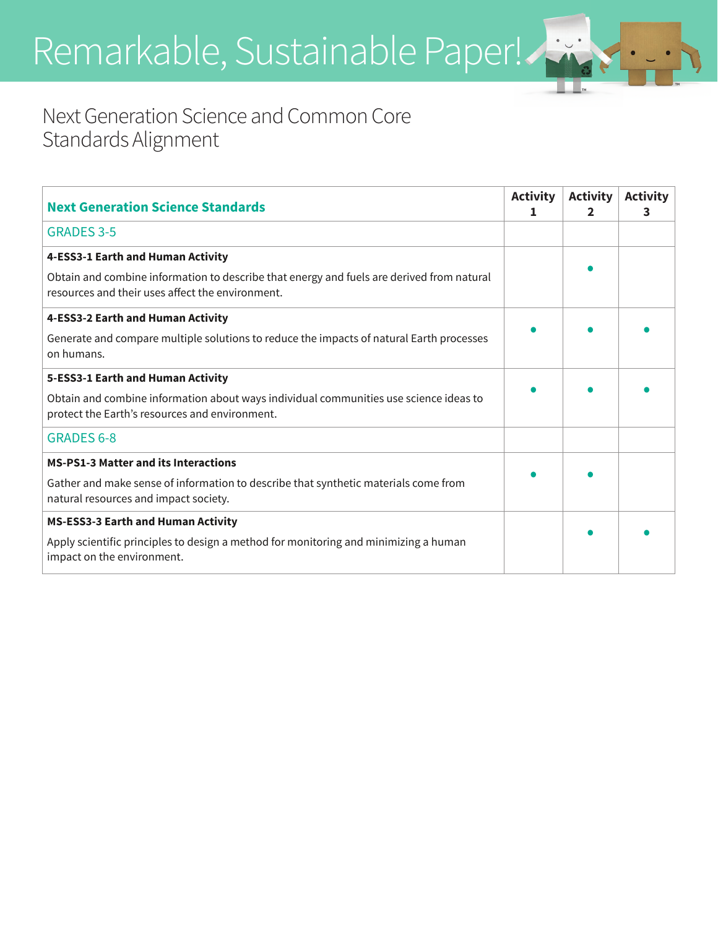Remarkable, Sustainable Paper!

## Next Generation Science and Common Core Standards Alignment

| <b>Next Generation Science Standards</b>                                                                                                                                                                                                                                                                                                       | <b>Activity</b> | <b>Activity</b> | <b>Activity</b><br>3. |
|------------------------------------------------------------------------------------------------------------------------------------------------------------------------------------------------------------------------------------------------------------------------------------------------------------------------------------------------|-----------------|-----------------|-----------------------|
| <b>GRADES 3-5</b>                                                                                                                                                                                                                                                                                                                              |                 |                 |                       |
| 4-ESS3-1 Earth and Human Activity<br>Obtain and combine information to describe that energy and fuels are derived from natural<br>resources and their uses affect the environment.                                                                                                                                                             |                 |                 |                       |
| 4-ESS3-2 Earth and Human Activity<br>Generate and compare multiple solutions to reduce the impacts of natural Earth processes<br>on humans.                                                                                                                                                                                                    |                 |                 |                       |
| 5-ESS3-1 Earth and Human Activity<br>Obtain and combine information about ways individual communities use science ideas to<br>protect the Earth's resources and environment.                                                                                                                                                                   |                 |                 |                       |
| <b>GRADES 6-8</b>                                                                                                                                                                                                                                                                                                                              |                 |                 |                       |
| <b>MS-PS1-3 Matter and its Interactions</b><br>Gather and make sense of information to describe that synthetic materials come from<br>natural resources and impact society.<br><b>MS-ESS3-3 Earth and Human Activity</b><br>Apply scientific principles to design a method for monitoring and minimizing a human<br>impact on the environment. |                 |                 |                       |

™

™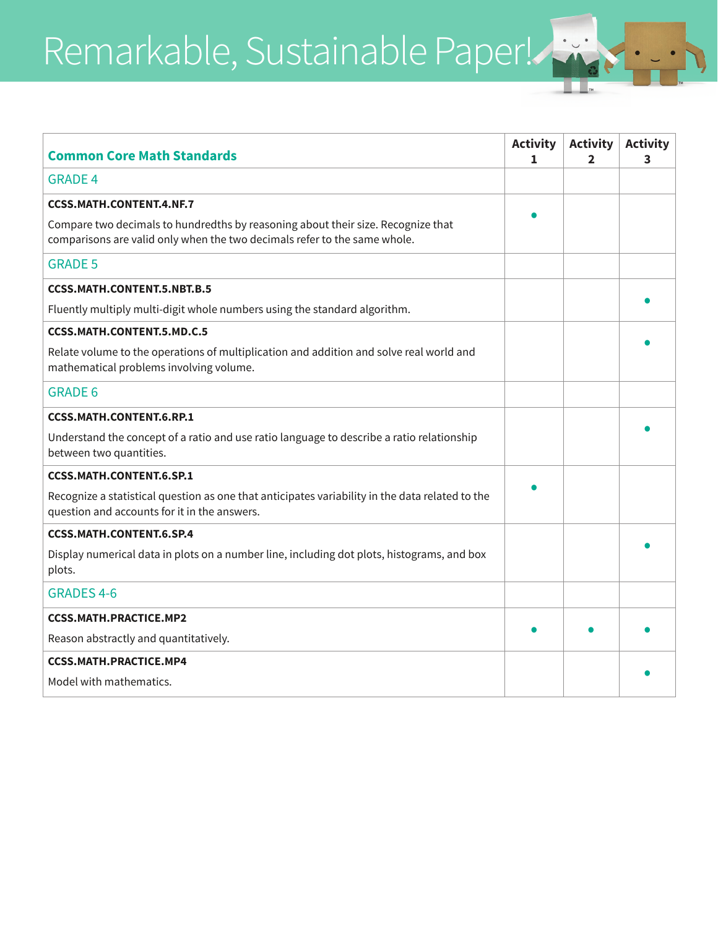Remarkable, Sustainable Paper!

| <b>Common Core Math Standards</b>                                                                                                                             | <b>Activity</b><br>Т. | <b>Activity</b><br>2 | <b>Activity</b><br>3 |
|---------------------------------------------------------------------------------------------------------------------------------------------------------------|-----------------------|----------------------|----------------------|
| <b>GRADE 4</b>                                                                                                                                                |                       |                      |                      |
| <b>CCSS.MATH.CONTENT.4.NF.7</b>                                                                                                                               |                       |                      |                      |
| Compare two decimals to hundredths by reasoning about their size. Recognize that<br>comparisons are valid only when the two decimals refer to the same whole. |                       |                      |                      |
| <b>GRADE 5</b>                                                                                                                                                |                       |                      |                      |
| <b>CCSS.MATH.CONTENT.5.NBT.B.5</b>                                                                                                                            |                       |                      |                      |
| Fluently multiply multi-digit whole numbers using the standard algorithm.                                                                                     |                       |                      |                      |
| <b>CCSS.MATH.CONTENT.5.MD.C.5</b>                                                                                                                             |                       |                      |                      |
| Relate volume to the operations of multiplication and addition and solve real world and<br>mathematical problems involving volume.                            |                       |                      |                      |
| <b>GRADE 6</b>                                                                                                                                                |                       |                      |                      |
| <b>CCSS.MATH.CONTENT.6.RP.1</b>                                                                                                                               |                       |                      |                      |
| Understand the concept of a ratio and use ratio language to describe a ratio relationship<br>between two quantities.                                          |                       |                      |                      |
| <b>CCSS.MATH.CONTENT.6.SP.1</b>                                                                                                                               |                       |                      |                      |
| Recognize a statistical question as one that anticipates variability in the data related to the<br>question and accounts for it in the answers.               |                       |                      |                      |
| <b>CCSS.MATH.CONTENT.6.SP.4</b>                                                                                                                               |                       |                      |                      |
| Display numerical data in plots on a number line, including dot plots, histograms, and box<br>plots.                                                          |                       |                      |                      |
| <b>GRADES 4-6</b>                                                                                                                                             |                       |                      |                      |
| <b>CCSS.MATH.PRACTICE.MP2</b>                                                                                                                                 |                       |                      |                      |
| Reason abstractly and quantitatively.                                                                                                                         |                       |                      |                      |
| <b>CCSS.MATH.PRACTICE.MP4</b>                                                                                                                                 |                       |                      |                      |
| Model with mathematics.                                                                                                                                       |                       |                      |                      |

™ ™